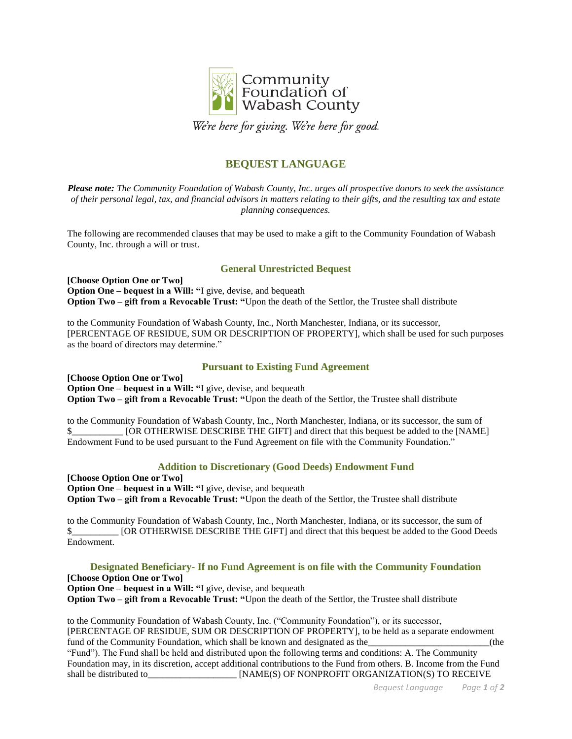

We're here for giving. We're here for good.

# **BEQUEST LANGUAGE**

*Please note: The Community Foundation of Wabash County, Inc. urges all prospective donors to seek the assistance of their personal legal, tax, and financial advisors in matters relating to their gifts, and the resulting tax and estate planning consequences.*

The following are recommended clauses that may be used to make a gift to the Community Foundation of Wabash County, Inc. through a will or trust.

## **General Unrestricted Bequest**

**[Choose Option One or Two] Option One – bequest in a Will: "**I give, devise, and bequeath **Option Two – gift from a Revocable Trust: "**Upon the death of the Settlor, the Trustee shall distribute

to the Community Foundation of Wabash County, Inc., North Manchester, Indiana, or its successor, [PERCENTAGE OF RESIDUE, SUM OR DESCRIPTION OF PROPERTY], which shall be used for such purposes as the board of directors may determine."

### **Pursuant to Existing Fund Agreement**

**[Choose Option One or Two] Option One – bequest in a Will: "**I give, devise, and bequeath **Option Two – gift from a Revocable Trust: "**Upon the death of the Settlor, the Trustee shall distribute

to the Community Foundation of Wabash County, Inc., North Manchester, Indiana, or its successor, the sum of \$ [OR OTHERWISE DESCRIBE THE GIFT] and direct that this bequest be added to the [NAME] Endowment Fund to be used pursuant to the Fund Agreement on file with the Community Foundation."

### **Addition to Discretionary (Good Deeds) Endowment Fund**

**[Choose Option One or Two] Option One – bequest in a Will: "**I give, devise, and bequeath **Option Two – gift from a Revocable Trust: "**Upon the death of the Settlor, the Trustee shall distribute

to the Community Foundation of Wabash County, Inc., North Manchester, Indiana, or its successor, the sum of \$\_\_\_\_\_\_\_\_\_\_ [OR OTHERWISE DESCRIBE THE GIFT] and direct that this bequest be added to the Good Deeds Endowment.

**Designated Beneficiary- If no Fund Agreement is on file with the Community Foundation [Choose Option One or Two] Option One – bequest in a Will: "**I give, devise, and bequeath **Option Two – gift from a Revocable Trust: "**Upon the death of the Settlor, the Trustee shall distribute

to the Community Foundation of Wabash County, Inc. ("Community Foundation"), or its successor, [PERCENTAGE OF RESIDUE, SUM OR DESCRIPTION OF PROPERTY], to be held as a separate endowment fund of the Community Foundation, which shall be known and designated as the  $\qquad$  (the "Fund"). The Fund shall be held and distributed upon the following terms and conditions: A. The Community Foundation may, in its discretion, accept additional contributions to the Fund from others. B. Income from the Fund shall be distributed to  $[NAME(S)$  OF NONPROFIT ORGANIZATION(S) TO RECEIVE